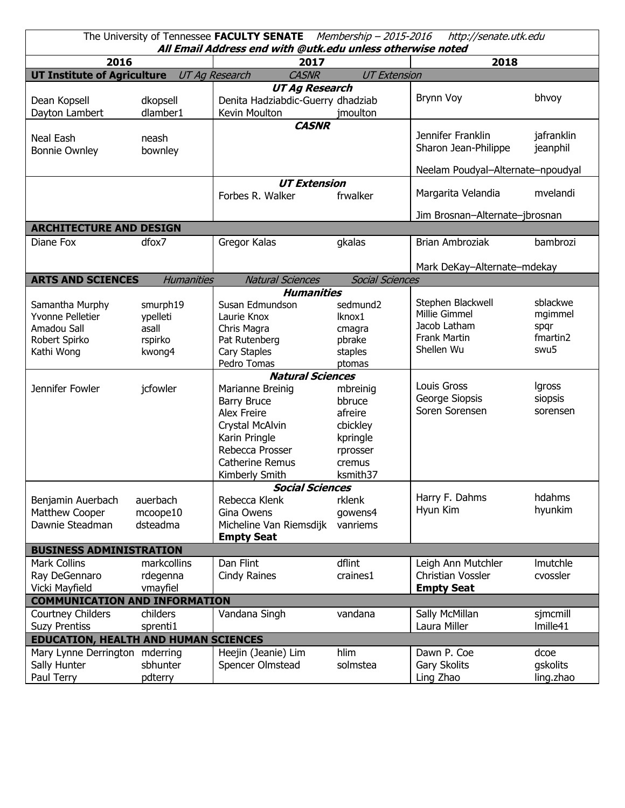| The University of Tennessee FACULTY SENATE Membership - 2015-2016<br>http://senate.utk.edu<br>All Email Address end with @utk.edu unless otherwise noted |                                                    |                                                                                                                                                                 |                                                                                         |                                                                                         |                                                 |  |  |  |  |  |
|----------------------------------------------------------------------------------------------------------------------------------------------------------|----------------------------------------------------|-----------------------------------------------------------------------------------------------------------------------------------------------------------------|-----------------------------------------------------------------------------------------|-----------------------------------------------------------------------------------------|-------------------------------------------------|--|--|--|--|--|
| 2016                                                                                                                                                     |                                                    | 2017                                                                                                                                                            |                                                                                         | 2018                                                                                    |                                                 |  |  |  |  |  |
| UT Institute of Agriculture UT Ag Research                                                                                                               |                                                    | <b>CASNR</b>                                                                                                                                                    | <b>UT Extension</b>                                                                     |                                                                                         |                                                 |  |  |  |  |  |
| Dean Kopsell<br>Dayton Lambert                                                                                                                           | dkopsell<br>dlamber1                               | <b>UT Ag Research</b><br>Denita Hadziabdic-Guerry dhadziab<br>Kevin Moulton                                                                                     | jmoulton                                                                                | Brynn Voy                                                                               | bhvoy                                           |  |  |  |  |  |
| Neal Eash<br><b>Bonnie Ownley</b>                                                                                                                        | neash<br>bownley                                   | <b>CASNR</b>                                                                                                                                                    |                                                                                         | Jennifer Franklin<br>Sharon Jean-Philippe                                               | jafranklin<br>jeanphil                          |  |  |  |  |  |
|                                                                                                                                                          |                                                    |                                                                                                                                                                 |                                                                                         | Neelam Poudyal-Alternate-npoudyal                                                       |                                                 |  |  |  |  |  |
|                                                                                                                                                          |                                                    | <b>UT Extension</b><br>Forbes R. Walker<br>frwalker                                                                                                             |                                                                                         | Margarita Velandia                                                                      | mvelandi                                        |  |  |  |  |  |
|                                                                                                                                                          |                                                    |                                                                                                                                                                 |                                                                                         | Jim Brosnan-Alternate-jbrosnan                                                          |                                                 |  |  |  |  |  |
| <b>ARCHITECTURE AND DESIGN</b>                                                                                                                           |                                                    |                                                                                                                                                                 |                                                                                         |                                                                                         |                                                 |  |  |  |  |  |
| Diane Fox                                                                                                                                                | dfox7                                              | Gregor Kalas                                                                                                                                                    | gkalas                                                                                  | Brian Ambroziak                                                                         | bambrozi                                        |  |  |  |  |  |
|                                                                                                                                                          |                                                    |                                                                                                                                                                 |                                                                                         | Mark DeKay-Alternate-mdekay                                                             |                                                 |  |  |  |  |  |
| <b>ARTS AND SCIENCES</b>                                                                                                                                 | <b>Humanities</b>                                  | <b>Natural Sciences</b>                                                                                                                                         | <b>Social Sciences</b>                                                                  |                                                                                         |                                                 |  |  |  |  |  |
|                                                                                                                                                          |                                                    | <b>Humanities</b>                                                                                                                                               |                                                                                         |                                                                                         |                                                 |  |  |  |  |  |
| Samantha Murphy<br>Yvonne Pelletier<br>Amadou Sall<br>Robert Spirko<br>Kathi Wong                                                                        | smurph19<br>ypelleti<br>asall<br>rspirko<br>kwong4 | Susan Edmundson<br>Laurie Knox<br>Chris Magra<br>Pat Rutenberg<br>Cary Staples<br>Pedro Tomas<br><b>Natural Sciences</b>                                        | sedmund2<br>Iknox1<br>cmagra<br>pbrake<br>staples<br>ptomas                             | Stephen Blackwell<br>Millie Gimmel<br>Jacob Latham<br><b>Frank Martin</b><br>Shellen Wu | sblackwe<br>mgimmel<br>spqr<br>fmartin2<br>swu5 |  |  |  |  |  |
| Jennifer Fowler                                                                                                                                          | jcfowler                                           | Marianne Breinig<br><b>Barry Bruce</b><br><b>Alex Freire</b><br>Crystal McAlvin<br>Karin Pringle<br>Rebecca Prosser<br><b>Catherine Remus</b><br>Kimberly Smith | mbreinig<br>bbruce<br>afreire<br>cbickley<br>kpringle<br>rprosser<br>cremus<br>ksmith37 | Louis Gross<br>George Siopsis<br>Soren Sorensen                                         | <b>Igross</b><br>siopsis<br>sorensen            |  |  |  |  |  |
| <b>Social Sciences</b>                                                                                                                                   |                                                    |                                                                                                                                                                 |                                                                                         |                                                                                         |                                                 |  |  |  |  |  |
| Benjamin Auerbach<br>Matthew Cooper<br>Dawnie Steadman                                                                                                   | auerbach<br>mcoope10<br>dsteadma                   | Rebecca Klenk<br>Gina Owens<br>Micheline Van Riemsdijk<br><b>Empty Seat</b>                                                                                     | rklenk<br>gowens4<br>vanriems                                                           | Harry F. Dahms<br>Hyun Kim                                                              | hdahms<br>hyunkim                               |  |  |  |  |  |
| <b>BUSINESS ADMINISTRATION</b>                                                                                                                           |                                                    |                                                                                                                                                                 |                                                                                         |                                                                                         |                                                 |  |  |  |  |  |
| <b>Mark Collins</b><br>Ray DeGennaro<br>Vicki Mayfield                                                                                                   | markcollins<br>rdegenna<br>vmayfiel                | Dan Flint<br>Cindy Raines                                                                                                                                       | dflint<br>craines1                                                                      | Leigh Ann Mutchler<br><b>Christian Vossler</b><br><b>Empty Seat</b>                     | Imutchle<br>cvossler                            |  |  |  |  |  |
| <b>COMMUNICATION AND INFORMATION</b>                                                                                                                     |                                                    |                                                                                                                                                                 |                                                                                         |                                                                                         |                                                 |  |  |  |  |  |
| Courtney Childers<br><b>Suzy Prentiss</b>                                                                                                                | childers<br>sprenti1                               | Vandana Singh                                                                                                                                                   | vandana                                                                                 | Sally McMillan<br>Laura Miller                                                          | sjmcmill<br>Imille41                            |  |  |  |  |  |
| <b>EDUCATION, HEALTH AND HUMAN SCIENCES</b>                                                                                                              |                                                    |                                                                                                                                                                 |                                                                                         |                                                                                         |                                                 |  |  |  |  |  |
| Mary Lynne Derrington mderring<br>Sally Hunter<br>Paul Terry                                                                                             | sbhunter<br>pdterry                                | Heejin (Jeanie) Lim<br>Spencer Olmstead                                                                                                                         | hlim<br>solmstea                                                                        | Dawn P. Coe<br>Gary Skolits<br>Ling Zhao                                                | dcoe<br>gskolits<br>ling.zhao                   |  |  |  |  |  |